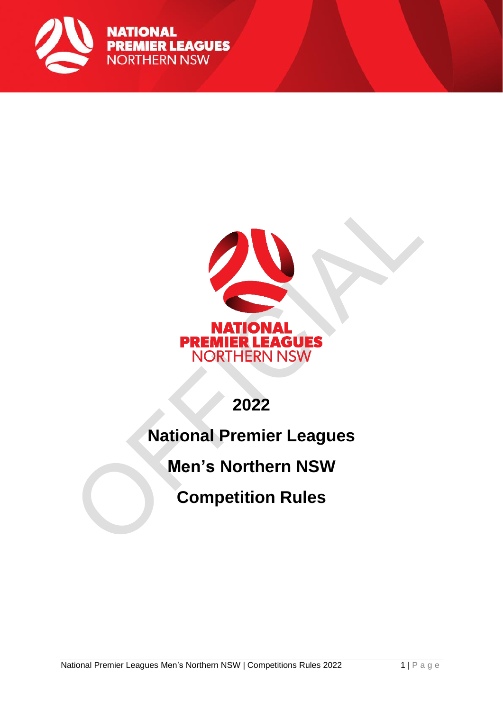

**NATIONAL PREMIER LEAGUES NORTHERN NSW** 



## **2022**

## **National Premier Leagues**

### **Men's Northern NSW**

## **Competition Rules**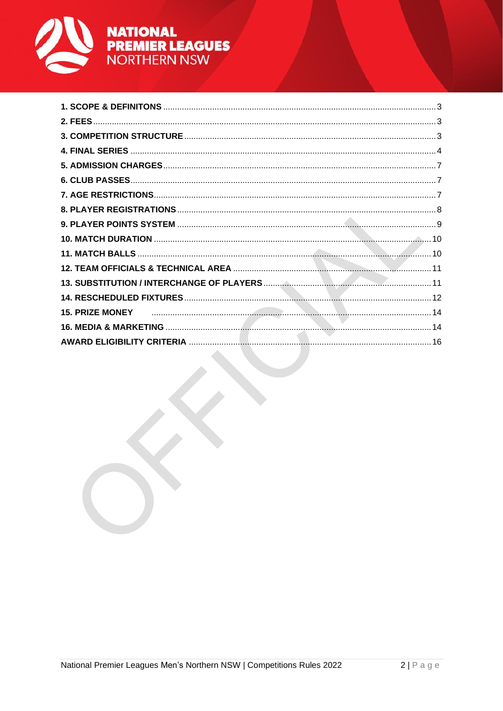

# **NATIONAL<br>PREMIER LEAGUES<br>NORTHERN NSW**

| the contract of the contract of the contract of the contract of the contract of the contract of the contract of |  |
|-----------------------------------------------------------------------------------------------------------------|--|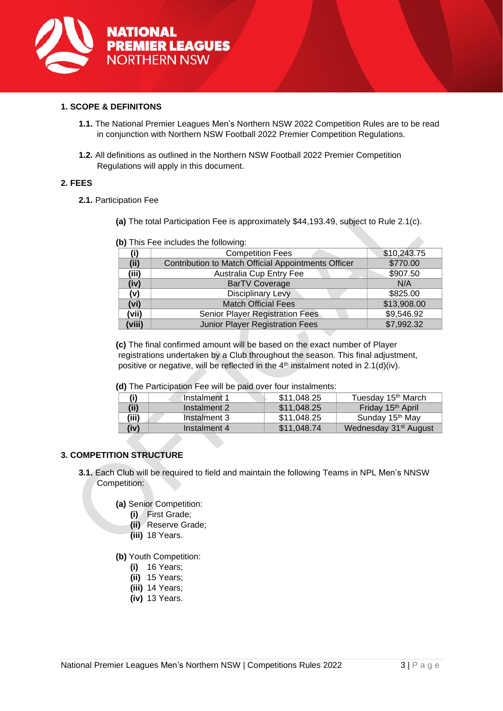

#### <span id="page-2-0"></span>**1. SCOPE & DEFINITONS**

- **1.1.** The National Premier Leagues Men's Northern NSW 2022 Competition Rules are to be read in conjunction with Northern NSW Football 2022 Premier Competition Regulations.
- **1.2.** All definitions as outlined in the Northern NSW Football 2022 Premier Competition Regulations will apply in this document.

#### <span id="page-2-1"></span>**2. FEES**

- **2.1.** Participation Fee
	- **(a)** The total Participation Fee is approximately \$44,193.49, subject to Rule 2.1(c).

|        | $\mathbf w$ , $\mathbf w$ , $\mathbf w$ , $\mathbf w$ , $\mathbf w$ , $\mathbf w$ , $\mathbf w$ , $\mathbf w$ , $\mathbf w$ , $\mathbf w$ , $\mathbf w$ , $\mathbf w$ |             |
|--------|-----------------------------------------------------------------------------------------------------------------------------------------------------------------------|-------------|
| (i)    | <b>Competition Fees</b>                                                                                                                                               | \$10,243.75 |
| (iii)  | Contribution to Match Official Appointments Officer                                                                                                                   | \$770.00    |
| (iii)  | Australia Cup Entry Fee                                                                                                                                               | \$907.50    |
| (iv)   | <b>BarTV Coverage</b>                                                                                                                                                 | N/A         |
| (v)    | <b>Disciplinary Levy</b>                                                                                                                                              | \$825.00    |
| (vi)   | <b>Match Official Fees</b>                                                                                                                                            | \$13,908.00 |
| (vii)  | Senior Player Registration Fees                                                                                                                                       | \$9,546.92  |
| (viii) | Junior Player Registration Fees                                                                                                                                       | \$7,992.32  |

**(b)** This Fee includes the following:

**(c)** The final confirmed amount will be based on the exact number of Player registrations undertaken by a Club throughout the season. This final adjustment, positive or negative, will be reflected in the  $4<sup>th</sup>$  instalment noted in 2.1(d)(iv).

**(d)** The Participation Fee will be paid over four instalments:

|       | Instalment 1 | \$11,048.25 | Tuesday 15 <sup>th</sup> March    |
|-------|--------------|-------------|-----------------------------------|
| (ii)  | Instalment 2 | \$11,048,25 | Friday 15 <sup>th</sup> April     |
| (iii) | Instalment 3 | \$11.048.25 | Sunday 15 <sup>th</sup> May       |
| (iv)  | Instalment 4 | \$11,048.74 | Wednesday 31 <sup>st</sup> August |

#### <span id="page-2-2"></span>**3. COMPETITION STRUCTURE**

- **3.1.** Each Club will be required to field and maintain the following Teams in NPL Men's NNSW Competition:
	- **(a)** Senior Competition:
		- **(i)** First Grade;
		- **(ii)** Reserve Grade;
		- **(iii)** 18 Years.
	- **(b)** Youth Competition:
		- **(i)** 16 Years;
		- **(ii)** 15 Years;
		- **(iii)** 14 Years;
		- **(iv)** 13 Years.

 $\mathcal{A}$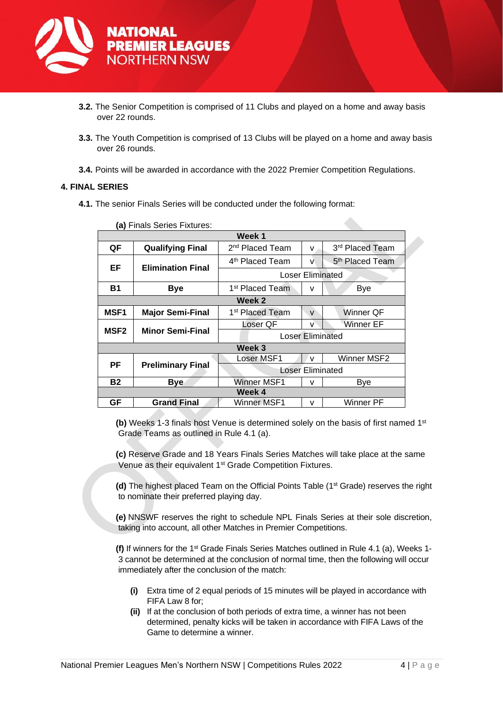

- **3.2.** The Senior Competition is comprised of 11 Clubs and played on a home and away basis over 22 rounds.
- **3.3.** The Youth Competition is comprised of 13 Clubs will be played on a home and away basis over 26 rounds.

**3.4.** Points will be awarded in accordance with the 2022 Premier Competition Regulations.

#### <span id="page-3-0"></span>**4. FINAL SERIES**

**4.1.** The senior Finals Series will be conducted under the following format:

| Week 1                                                                     |                             |  |  |
|----------------------------------------------------------------------------|-----------------------------|--|--|
|                                                                            |                             |  |  |
| QF<br><b>Qualifying Final</b><br>2 <sup>nd</sup> Placed Team<br>v          | 3rd Placed Team             |  |  |
| 4 <sup>th</sup> Placed Team<br>v<br>EF<br><b>Elimination Final</b>         | 5 <sup>th</sup> Placed Team |  |  |
| <b>Loser Eliminated</b>                                                    |                             |  |  |
| <b>B1</b><br>1 <sup>st</sup> Placed Team<br><b>Bye</b><br>v                | Bye                         |  |  |
| Week 2                                                                     |                             |  |  |
| <b>MSF1</b><br><b>Major Semi-Final</b><br>1 <sup>st</sup> Placed Team<br>v | Winner QF                   |  |  |
| Loser QF<br>v                                                              | Winner EF                   |  |  |
| <b>MSF2</b><br><b>Minor Semi-Final</b><br><b>Loser Eliminated</b>          |                             |  |  |
| Week 3                                                                     |                             |  |  |
| Loser MSF1<br>v                                                            | Winner MSF2                 |  |  |
| РF<br><b>Preliminary Final</b><br>Loser Eliminated                         |                             |  |  |
| Winner MSF1<br><b>B2</b><br><b>Bye</b><br>v                                | Bye                         |  |  |
| Week 4                                                                     |                             |  |  |
| GF<br><b>Grand Final</b><br>Winner MSF1<br>v                               | Winner PF                   |  |  |

**(a)** Finals Series Fixtures:

**(b)** Weeks 1-3 finals host Venue is determined solely on the basis of first named 1<sup>st</sup> Grade Teams as outlined in Rule 4.1 (a).

**(c)** Reserve Grade and 18 Years Finals Series Matches will take place at the same Venue as their equivalent 1<sup>st</sup> Grade Competition Fixtures.

**(d)** The highest placed Team on the Official Points Table (1st Grade) reserves the right to nominate their preferred playing day.

**(e)** NNSWF reserves the right to schedule NPL Finals Series at their sole discretion, taking into account, all other Matches in Premier Competitions.

**(f)** If winners for the 1<sup>st</sup> Grade Finals Series Matches outlined in Rule 4.1 (a), Weeks 1-3 cannot be determined at the conclusion of normal time, then the following will occur immediately after the conclusion of the match:

- **(i)** Extra time of 2 equal periods of 15 minutes will be played in accordance with FIFA Law 8 for;
- **(ii)** If at the conclusion of both periods of extra time, a winner has not been determined, penalty kicks will be taken in accordance with FIFA Laws of the Game to determine a winner.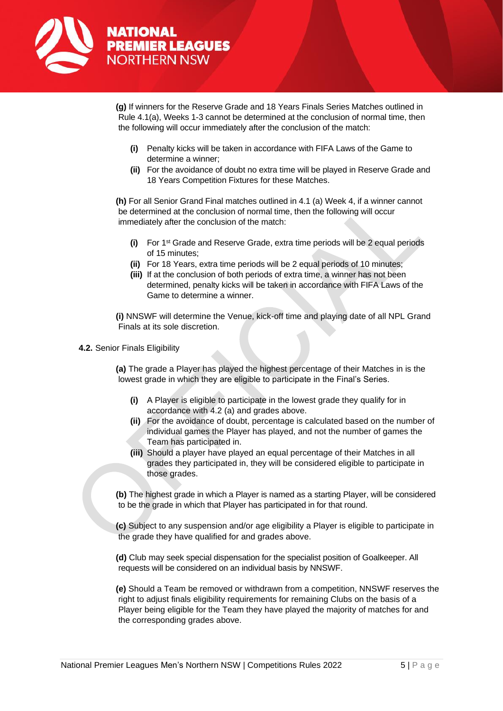

**(g)** If winners for the Reserve Grade and 18 Years Finals Series Matches outlined in Rule 4.1(a), Weeks 1-3 cannot be determined at the conclusion of normal time, then the following will occur immediately after the conclusion of the match:

- **(i)** Penalty kicks will be taken in accordance with FIFA Laws of the Game to determine a winner;
- **(ii)** For the avoidance of doubt no extra time will be played in Reserve Grade and 18 Years Competition Fixtures for these Matches.

**(h)** For all Senior Grand Final matches outlined in 4.1 (a) Week 4, if a winner cannot be determined at the conclusion of normal time, then the following will occur immediately after the conclusion of the match:

- **(i)** For 1st Grade and Reserve Grade, extra time periods will be 2 equal periods of 15 minutes;
- **(ii)** For 18 Years, extra time periods will be 2 equal periods of 10 minutes;
- **(iii)** If at the conclusion of both periods of extra time, a winner has not been determined, penalty kicks will be taken in accordance with FIFA Laws of the Game to determine a winner.

**(i)** NNSWF will determine the Venue, kick-off time and playing date of all NPL Grand Finals at its sole discretion.

#### **4.2.** Senior Finals Eligibility

**(a)** The grade a Player has played the highest percentage of their Matches in is the lowest grade in which they are eligible to participate in the Final's Series.

- **(i)** A Player is eligible to participate in the lowest grade they qualify for in accordance with 4.2 (a) and grades above.
- **(ii)** For the avoidance of doubt, percentage is calculated based on the number of individual games the Player has played, and not the number of games the Team has participated in.
- **(iii)** Should a player have played an equal percentage of their Matches in all grades they participated in, they will be considered eligible to participate in those grades.

**(b)** The highest grade in which a Player is named as a starting Player, will be considered to be the grade in which that Player has participated in for that round.

**(c)** Subject to any suspension and/or age eligibility a Player is eligible to participate in the grade they have qualified for and grades above.

**(d)** Club may seek special dispensation for the specialist position of Goalkeeper. All requests will be considered on an individual basis by NNSWF.

**(e)** Should a Team be removed or withdrawn from a competition, NNSWF reserves the right to adjust finals eligibility requirements for remaining Clubs on the basis of a Player being eligible for the Team they have played the majority of matches for and the corresponding grades above.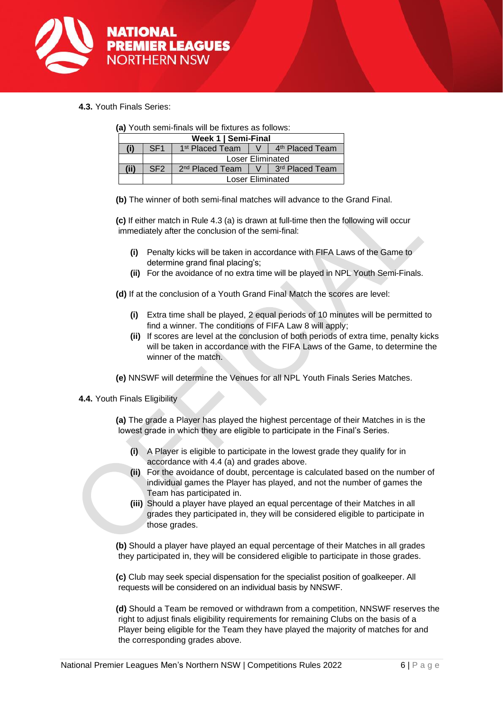

**4.3.** Youth Finals Series:

| (a) Youth semi-finals will be fixtures as follows: |  |  |  |
|----------------------------------------------------|--|--|--|
|----------------------------------------------------|--|--|--|

| Week 1   Semi-Final |                 |                                                                  |  |                                 |
|---------------------|-----------------|------------------------------------------------------------------|--|---------------------------------|
|                     | SE <sub>1</sub> | │ V │ 4 <sup>th</sup> Placed Team<br>1 <sup>st</sup> Placed Team |  |                                 |
|                     |                 | Loser Eliminated                                                 |  |                                 |
| (ii)                | SF <sub>2</sub> | 2 <sup>nd</sup> Placed Team                                      |  | V   3 <sup>rd</sup> Placed Team |
|                     |                 | Loser Eliminated                                                 |  |                                 |

**(b)** The winner of both semi-final matches will advance to the Grand Final.

**(c)** If either match in Rule 4.3 (a) is drawn at full-time then the following will occur immediately after the conclusion of the semi-final:

- **(i)** Penalty kicks will be taken in accordance with FIFA Laws of the Game to determine grand final placing's;
- **(ii)** For the avoidance of no extra time will be played in NPL Youth Semi-Finals.

**(d)** If at the conclusion of a Youth Grand Final Match the scores are level:

- **(i)** Extra time shall be played, 2 equal periods of 10 minutes will be permitted to find a winner. The conditions of FIFA Law 8 will apply;
- **(ii)** If scores are level at the conclusion of both periods of extra time, penalty kicks will be taken in accordance with the FIFA Laws of the Game, to determine the winner of the match.
- **(e)** NNSWF will determine the Venues for all NPL Youth Finals Series Matches.
- **4.4.** Youth Finals Eligibility

**(a)** The grade a Player has played the highest percentage of their Matches in is the lowest grade in which they are eligible to participate in the Final's Series.

- **(i)** A Player is eligible to participate in the lowest grade they qualify for in accordance with 4.4 (a) and grades above.
- **(ii)** For the avoidance of doubt, percentage is calculated based on the number of individual games the Player has played, and not the number of games the Team has participated in.
- **(iii)** Should a player have played an equal percentage of their Matches in all grades they participated in, they will be considered eligible to participate in those grades.

**(b)** Should a player have played an equal percentage of their Matches in all grades they participated in, they will be considered eligible to participate in those grades.

**(c)** Club may seek special dispensation for the specialist position of goalkeeper. All requests will be considered on an individual basis by NNSWF.

**(d)** Should a Team be removed or withdrawn from a competition, NNSWF reserves the right to adjust finals eligibility requirements for remaining Clubs on the basis of a Player being eligible for the Team they have played the majority of matches for and the corresponding grades above.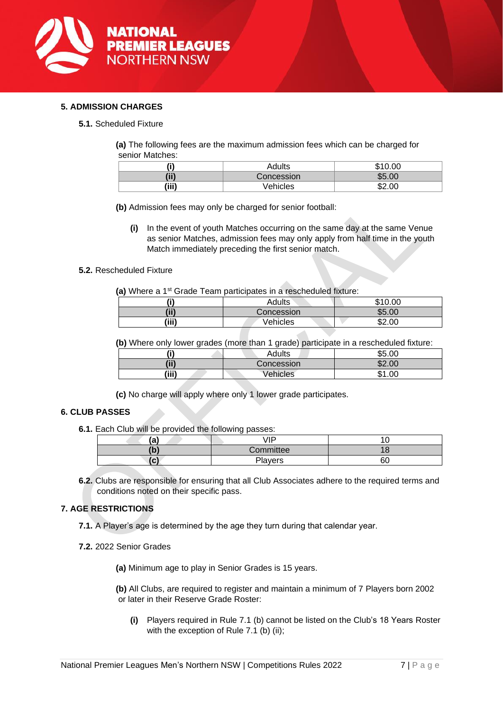

#### <span id="page-6-0"></span>**5. ADMISSION CHARGES**

**5.1.** Scheduled Fixture

**(a)** The following fees are the maximum admission fees which can be charged for senior Matches:

| (i)   | Adults     | \$10.00 |
|-------|------------|---------|
| (ii)  | Concession | \$5.00  |
| (iii) | Vehicles   | \$2.00  |

**(b)** Admission fees may only be charged for senior football:

**(i)** In the event of youth Matches occurring on the same day at the same Venue as senior Matches, admission fees may only apply from half time in the youth Match immediately preceding the first senior match.

#### **5.2.** Rescheduled Fixture

(a) Where a 1<sup>st</sup> Grade Team participates in a rescheduled fixture:

| /:۱   | Adults     | \$10.00 |
|-------|------------|---------|
| 'ii)  | Concession | \$5.00  |
| (iii) | Vehicles   | \$2.00  |

**(b)** Where only lower grades (more than 1 grade) participate in a rescheduled fixture:

| י י   | Adults     | \$5.00      |
|-------|------------|-------------|
| (ii)  | Concession | \$2.00      |
| (iii) | Vehicles   | 1.00<br>\$1 |

**(c)** No charge will apply where only 1 lower grade participates.

#### <span id="page-6-1"></span>**6. CLUB PASSES**

**6.1.** Each Club will be provided the following passes:

| a   | √lP            | л. |
|-----|----------------|----|
| (b) | Committee      |    |
| lc' | <b>Players</b> | 60 |

**6.2.** Clubs are responsible for ensuring that all Club Associates adhere to the required terms and conditions noted on their specific pass.

#### <span id="page-6-2"></span>**7. AGE RESTRICTIONS**

- **7.1.** A Player's age is determined by the age they turn during that calendar year.
- **7.2.** 2022 Senior Grades

**(a)** Minimum age to play in Senior Grades is 15 years.

**(b)** All Clubs, are required to register and maintain a minimum of 7 Players born 2002 or later in their Reserve Grade Roster:

**(i)** Players required in Rule 7.1 (b) cannot be listed on the Club's 18 Years Roster with the exception of Rule 7.1 (b) (ii);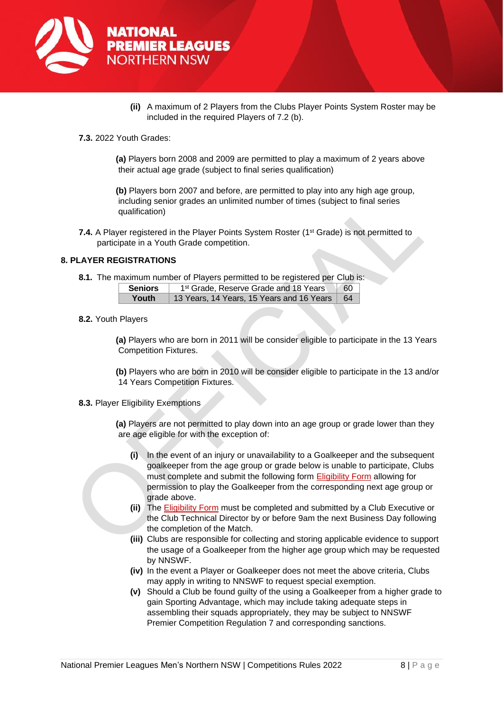

- **(ii)** A maximum of 2 Players from the Clubs Player Points System Roster may be included in the required Players of 7.2 (b).
- **7.3.** 2022 Youth Grades:

**(a)** Players born 2008 and 2009 are permitted to play a maximum of 2 years above their actual age grade (subject to final series qualification)

**(b)** Players born 2007 and before, are permitted to play into any high age group, including senior grades an unlimited number of times (subject to final series qualification)

**7.4.** A Player registered in the Player Points System Roster (1<sup>st</sup> Grade) is not permitted to participate in a Youth Grade competition.

#### <span id="page-7-0"></span>**8. PLAYER REGISTRATIONS**

**8.1.** The maximum number of Players permitted to be registered per Club is:

| <b>Seniors</b> | 1 <sup>st</sup> Grade, Reserve Grade and 18 Years | $\begin{array}{ c c }\n\hline\n60\n\end{array}$ |
|----------------|---------------------------------------------------|-------------------------------------------------|
| Youth          | 13 Years, 14 Years, 15 Years and 16 Years   64    |                                                 |
|                |                                                   |                                                 |

**8.2.** Youth Players

**(a)** Players who are born in 2011 will be consider eligible to participate in the 13 Years Competition Fixtures.

**(b)** Players who are born in 2010 will be consider eligible to participate in the 13 and/or 14 Years Competition Fixtures.

**8.3.** Player Eligibility Exemptions

**(a)** Players are not permitted to play down into an age group or grade lower than they are age eligible for with the exception of:

- **(i)** In the event of an injury or unavailability to a Goalkeeper and the subsequent goalkeeper from the age group or grade below is unable to participate, Clubs must complete and submit the following form [Eligibility Form](https://form.jotform.com/220327031254038) allowing for permission to play the Goalkeeper from the corresponding next age group or grade above.
- **(ii)** The [Eligibility Form](https://form.jotform.com/220327031254038) must be completed and submitted by a Club Executive or the Club Technical Director by or before 9am the next Business Day following the completion of the Match.
- **(iii)** Clubs are responsible for collecting and storing applicable evidence to support the usage of a Goalkeeper from the higher age group which may be requested by NNSWF.
- **(iv)** In the event a Player or Goalkeeper does not meet the above criteria, Clubs may apply in writing to NNSWF to request special exemption.
- **(v)** Should a Club be found guilty of the using a Goalkeeper from a higher grade to gain Sporting Advantage, which may include taking adequate steps in assembling their squads appropriately, they may be subject to NNSWF Premier Competition Regulation 7 and corresponding sanctions.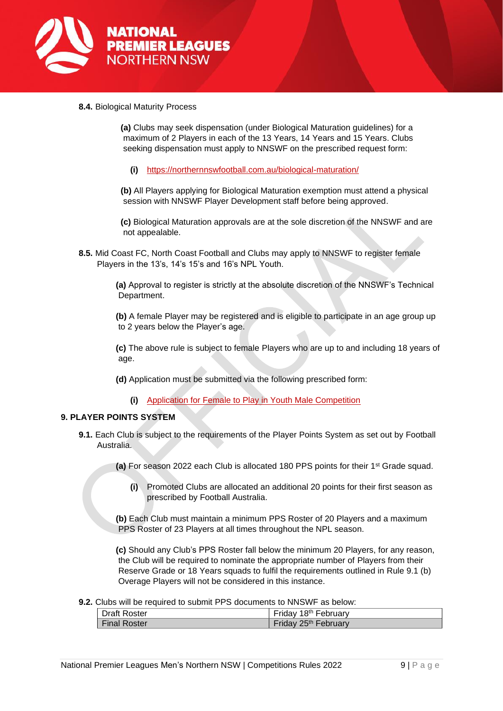

**8.4.** Biological Maturity Process

**(a)** Clubs may seek dispensation (under Biological Maturation guidelines) for a maximum of 2 Players in each of the 13 Years, 14 Years and 15 Years. Clubs seeking dispensation must apply to NNSWF on the prescribed request form:

**(i)** <https://northernnswfootball.com.au/biological-maturation/>

**(b)** All Players applying for Biological Maturation exemption must attend a physical session with NNSWF Player Development staff before being approved.

**(c)** Biological Maturation approvals are at the sole discretion of the NNSWF and are not appealable.

**8.5.** Mid Coast FC, North Coast Football and Clubs may apply to NNSWF to register female Players in the 13's, 14's 15's and 16's NPL Youth.

> **(a)** Approval to register is strictly at the absolute discretion of the NNSWF's Technical Department.

> **(b)** A female Player may be registered and is eligible to participate in an age group up to 2 years below the Player's age.

**(c)** The above rule is subject to female Players who are up to and including 18 years of age.

**(d)** Application must be submitted via the following prescribed form:

**(i)** [Application for Female to Play in Youth Male Competition](https://form.jotform.com/220327779607867)

#### <span id="page-8-0"></span>**9. PLAYER POINTS SYSTEM**

**9.1.** Each Club is subject to the requirements of the Player Points System as set out by Football Australia.

**(a)** For season 2022 each Club is allocated 180 PPS points for their 1st Grade squad.

**(i)** Promoted Clubs are allocated an additional 20 points for their first season as prescribed by Football Australia.

**(b)** Each Club must maintain a minimum PPS Roster of 20 Players and a maximum PPS Roster of 23 Players at all times throughout the NPL season.

**(c)** Should any Club's PPS Roster fall below the minimum 20 Players, for any reason, the Club will be required to nominate the appropriate number of Players from their Reserve Grade or 18 Years squads to fulfil the requirements outlined in Rule 9.1 (b) Overage Players will not be considered in this instance.

**9.2.** Clubs will be required to submit PPS documents to NNSWF as below:

| <b>Draft Roster</b> | Friday 18th February |
|---------------------|----------------------|
| <b>Final Roster</b> | Friday 25th February |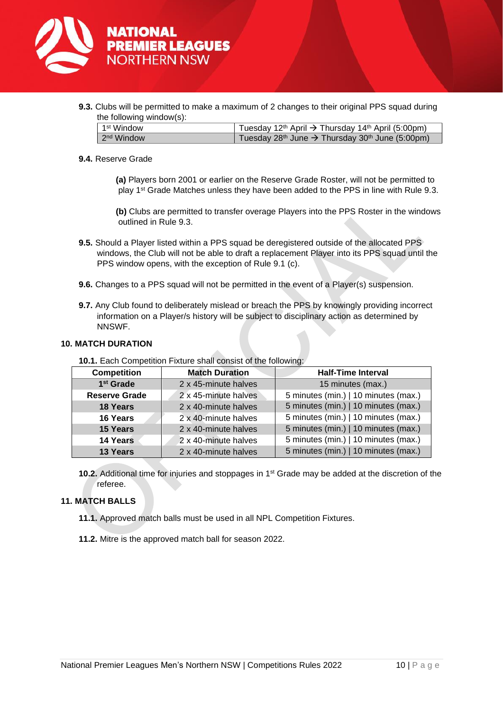

**9.3.** Clubs will be permitted to make a maximum of 2 changes to their original PPS squad during the following window(s):

| 1 <sup>st</sup> Window | Tuesday 12 <sup>th</sup> April $\rightarrow$ Thursday 14 <sup>th</sup> April (5:00pm) |  |
|------------------------|---------------------------------------------------------------------------------------|--|
| 2 <sup>nd</sup> Window | Tuesday 28 <sup>th</sup> June $\rightarrow$ Thursday 30 <sup>th</sup> June (5:00pm)   |  |
|                        |                                                                                       |  |

#### **9.4.** Reserve Grade

**(a)** Players born 2001 or earlier on the Reserve Grade Roster, will not be permitted to play 1st Grade Matches unless they have been added to the PPS in line with Rule 9.3.

**(b)** Clubs are permitted to transfer overage Players into the PPS Roster in the windows outlined in Rule 9.3.

- **9.5.** Should a Player listed within a PPS squad be deregistered outside of the allocated PPS windows, the Club will not be able to draft a replacement Player into its PPS squad until the PPS window opens, with the exception of Rule 9.1 (c).
- **9.6.** Changes to a PPS squad will not be permitted in the event of a Player(s) suspension.
- **9.7.** Any Club found to deliberately mislead or breach the PPS by knowingly providing incorrect information on a Player/s history will be subject to disciplinary action as determined by NNSWF.

#### <span id="page-9-0"></span>**10. MATCH DURATION**

| <b>Competition</b>    | <b>Match Duration</b> | <b>Half-Time Interval</b>            |
|-----------------------|-----------------------|--------------------------------------|
| 1 <sup>st</sup> Grade | 2 x 45-minute halves  | 15 minutes (max.)                    |
| <b>Reserve Grade</b>  | 2 x 45-minute halves  | 5 minutes (min.)   10 minutes (max.) |
| 18 Years              | 2 x 40-minute halves  | 5 minutes (min.)   10 minutes (max.) |
| 16 Years              | 2 x 40-minute halves  | 5 minutes (min.)   10 minutes (max.) |
| <b>15 Years</b>       | 2 x 40-minute halves  | 5 minutes (min.)   10 minutes (max.) |
| 14 Years              | 2 x 40-minute halves  | 5 minutes (min.)   10 minutes (max.) |
| 13 Years              | 2 x 40-minute halves  | 5 minutes (min.)   10 minutes (max.) |

**10.1.** Each Competition Fixture shall consist of the following:

**10.2.** Additional time for injuries and stoppages in 1<sup>st</sup> Grade may be added at the discretion of the referee.

#### <span id="page-9-1"></span>**11. MATCH BALLS**

- **11.1.** Approved match balls must be used in all NPL Competition Fixtures.
- **11.2.** Mitre is the approved match ball for season 2022.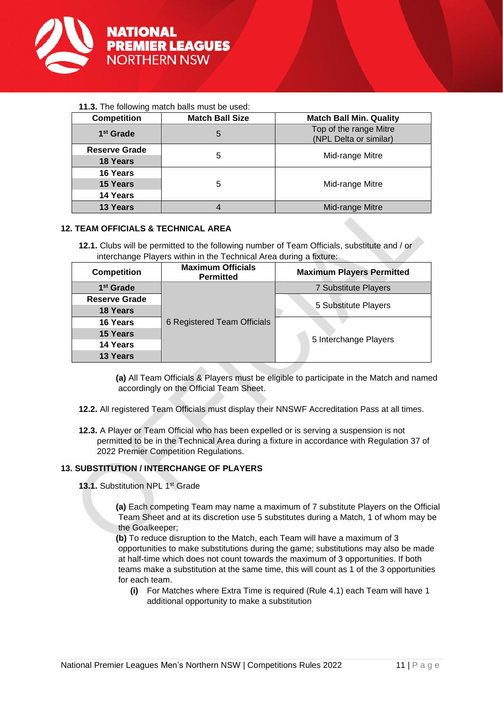

#### **11.3.** The following match balls must be used:

| <b>Competition</b>    | <b>Match Ball Size</b> | <b>Match Ball Min. Quality</b>                   |
|-----------------------|------------------------|--------------------------------------------------|
| 1 <sup>st</sup> Grade | 5                      | Top of the range Mitre<br>(NPL Delta or similar) |
| <b>Reserve Grade</b>  | 5                      | Mid-range Mitre                                  |
| <b>18 Years</b>       |                        |                                                  |
| 16 Years              | 5                      | Mid-range Mitre                                  |
| 15 Years              |                        |                                                  |
| 14 Years              |                        |                                                  |
| 13 Years              | 4                      | Mid-range Mitre                                  |

#### <span id="page-10-0"></span>**12. TEAM OFFICIALS & TECHNICAL AREA**

**12.1.** Clubs will be permitted to the following number of Team Officials, substitute and / or interchange Players within in the Technical Area during a fixture:

| <b>Competition</b>    | <b>Maximum Officials</b><br><b>Permitted</b> | <b>Maximum Players Permitted</b> |  |
|-----------------------|----------------------------------------------|----------------------------------|--|
| 1 <sup>st</sup> Grade | 6 Registered Team Officials                  | <b>7 Substitute Players</b>      |  |
| <b>Reserve Grade</b>  |                                              | 5 Substitute Players             |  |
| <b>18 Years</b>       |                                              |                                  |  |
| 16 Years              |                                              |                                  |  |
| 15 Years              |                                              |                                  |  |
| 14 Years              |                                              | 5 Interchange Players            |  |
| 13 Years              |                                              |                                  |  |

**(a)** All Team Officials & Players must be eligible to participate in the Match and named accordingly on the Official Team Sheet.

- **12.2.** All registered Team Officials must display their NNSWF Accreditation Pass at all times.
- **12.3.** A Player or Team Official who has been expelled or is serving a suspension is not permitted to be in the Technical Area during a fixture in accordance with Regulation 37 of 2022 Premier Competition Regulations.

#### <span id="page-10-1"></span>**13. SUBSTITUTION / INTERCHANGE OF PLAYERS**

13.1. Substitution NPL 1<sup>st</sup> Grade

**(a)** Each competing Team may name a maximum of 7 substitute Players on the Official Team Sheet and at its discretion use 5 substitutes during a Match, 1 of whom may be the Goalkeeper;

**(b)** To reduce disruption to the Match, each Team will have a maximum of 3 opportunities to make substitutions during the game; substitutions may also be made at half-time which does not count towards the maximum of 3 opportunities. If both teams make a substitution at the same time, this will count as 1 of the 3 opportunities for each team.

**(i)** For Matches where Extra Time is required (Rule 4.1) each Team will have 1 additional opportunity to make a substitution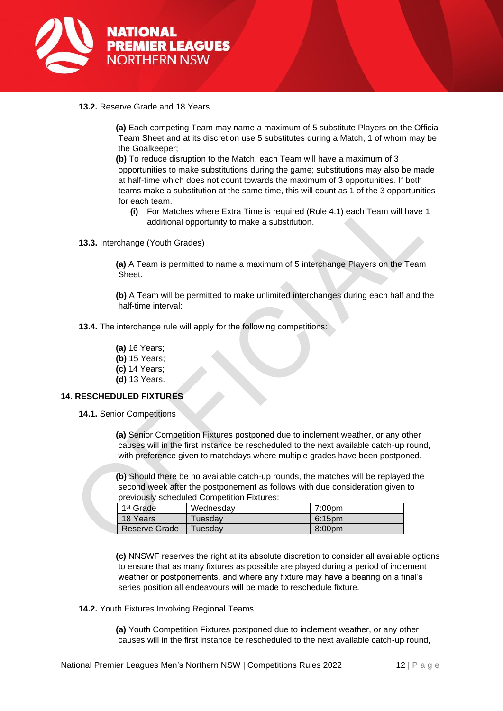

**13.2.** Reserve Grade and 18 Years

**(a)** Each competing Team may name a maximum of 5 substitute Players on the Official Team Sheet and at its discretion use 5 substitutes during a Match, 1 of whom may be the Goalkeeper;

**(b)** To reduce disruption to the Match, each Team will have a maximum of 3 opportunities to make substitutions during the game; substitutions may also be made at half-time which does not count towards the maximum of 3 opportunities. If both teams make a substitution at the same time, this will count as 1 of the 3 opportunities for each team.

- **(i)** For Matches where Extra Time is required (Rule 4.1) each Team will have 1 additional opportunity to make a substitution.
- **13.3.** Interchange (Youth Grades)

**(a)** A Team is permitted to name a maximum of 5 interchange Players on the Team Sheet.

**(b)** A Team will be permitted to make unlimited interchanges during each half and the half-time interval:

- **13.4.** The interchange rule will apply for the following competitions:
	- **(a)** 16 Years;
	- **(b)** 15 Years;
	- **(c)** 14 Years;
	- **(d)** 13 Years.

#### <span id="page-11-0"></span>**14. RESCHEDULED FIXTURES**

**14.1.** Senior Competitions

**(a)** Senior Competition Fixtures postponed due to inclement weather, or any other causes will in the first instance be rescheduled to the next available catch-up round, with preference given to matchdays where multiple grades have been postponed.

**(b)** Should there be no available catch-up rounds, the matches will be replayed the second week after the postponement as follows with due consideration given to previously scheduled Competition Fixtures:

| 1 <sup>st</sup> Grade | Wednesday | 7:00pm             |
|-----------------------|-----------|--------------------|
| 18 Years              | Tuesdav   | 6:15pm             |
| Reserve Grade         | Tuesdav   | 8:00 <sub>pm</sub> |

**(c)** NNSWF reserves the right at its absolute discretion to consider all available options to ensure that as many fixtures as possible are played during a period of inclement weather or postponements, and where any fixture may have a bearing on a final's series position all endeavours will be made to reschedule fixture.

**14.2.** Youth Fixtures Involving Regional Teams

**(a)** Youth Competition Fixtures postponed due to inclement weather, or any other causes will in the first instance be rescheduled to the next available catch-up round,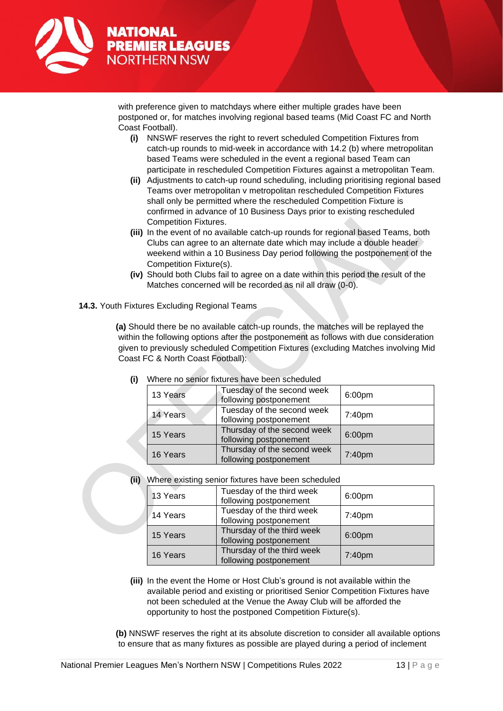

with preference given to matchdays where either multiple grades have been postponed or, for matches involving regional based teams (Mid Coast FC and North Coast Football).

- **(i)** NNSWF reserves the right to revert scheduled Competition Fixtures from catch-up rounds to mid-week in accordance with 14.2 (b) where metropolitan based Teams were scheduled in the event a regional based Team can participate in rescheduled Competition Fixtures against a metropolitan Team.
- **(ii)** Adjustments to catch-up round scheduling, including prioritising regional based Teams over metropolitan v metropolitan rescheduled Competition Fixtures shall only be permitted where the rescheduled Competition Fixture is confirmed in advance of 10 Business Days prior to existing rescheduled Competition Fixtures.
- **(iii)** In the event of no available catch-up rounds for regional based Teams, both Clubs can agree to an alternate date which may include a double header weekend within a 10 Business Day period following the postponement of the Competition Fixture(s).
- **(iv)** Should both Clubs fail to agree on a date within this period the result of the Matches concerned will be recorded as nil all draw (0-0).
- **14.3.** Youth Fixtures Excluding Regional Teams

**(a)** Should there be no available catch-up rounds, the matches will be replayed the within the following options after the postponement as follows with due consideration given to previously scheduled Competition Fixtures (excluding Matches involving Mid Coast FC & North Coast Football):

|  | 13 Years | Tuesday of the second week<br>following postponement  | 6:00pm |
|--|----------|-------------------------------------------------------|--------|
|  | 14 Years | Tuesday of the second week<br>following postponement  | 7:40pm |
|  | 15 Years | Thursday of the second week<br>following postponement | 6:00pm |
|  | 16 Years | Thursday of the second week<br>following postponement | 7:40pm |

**(i)** Where no senior fixtures have been scheduled

**(ii)** Where existing senior fixtures have been scheduled

|  | 13 Years | Tuesday of the third week<br>following postponement  | 6:00pm |
|--|----------|------------------------------------------------------|--------|
|  | 14 Years | Tuesday of the third week<br>following postponement  | 7:40pm |
|  | 15 Years | Thursday of the third week<br>following postponement | 6:00pm |
|  | 16 Years | Thursday of the third week<br>following postponement | 7:40pm |

**(iii)** In the event the Home or Host Club's ground is not available within the available period and existing or prioritised Senior Competition Fixtures have not been scheduled at the Venue the Away Club will be afforded the opportunity to host the postponed Competition Fixture(s).

**(b)** NNSWF reserves the right at its absolute discretion to consider all available options to ensure that as many fixtures as possible are played during a period of inclement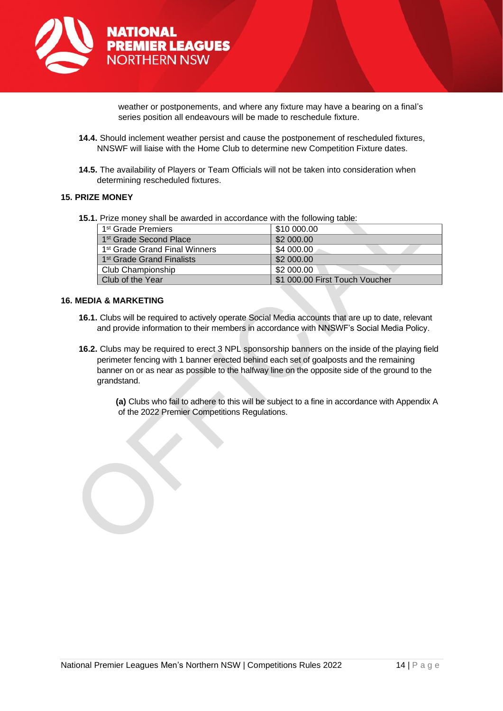

weather or postponements, and where any fixture may have a bearing on a final's series position all endeavours will be made to reschedule fixture.

- **14.4.** Should inclement weather persist and cause the postponement of rescheduled fixtures, NNSWF will liaise with the Home Club to determine new Competition Fixture dates.
- **14.5.** The availability of Players or Team Officials will not be taken into consideration when determining rescheduled fixtures.

#### <span id="page-13-0"></span>**15. PRIZE MONEY**

**15.1.** Prize money shall be awarded in accordance with the following table:

| 1 <sup>st</sup> Grade Premiers            | \$10 000.00                    |
|-------------------------------------------|--------------------------------|
| 1 <sup>st</sup> Grade Second Place        | \$2 000.00                     |
| 1 <sup>st</sup> Grade Grand Final Winners | \$4 000.00                     |
| 1 <sup>st</sup> Grade Grand Finalists     | \$2 000.00                     |
| Club Championship                         | \$2 000.00                     |
| Club of the Year                          | \$1 000.00 First Touch Voucher |

#### <span id="page-13-1"></span>**16. MEDIA & MARKETING**

- **16.1.** Clubs will be required to actively operate Social Media accounts that are up to date, relevant and provide information to their members in accordance with NNSWF's Social Media Policy.
- **16.2.** Clubs may be required to erect 3 NPL sponsorship banners on the inside of the playing field perimeter fencing with 1 banner erected behind each set of goalposts and the remaining banner on or as near as possible to the halfway line on the opposite side of the ground to the grandstand.
	- **(a)** Clubs who fail to adhere to this will be subject to a fine in accordance with Appendix A of the 2022 Premier Competitions Regulations.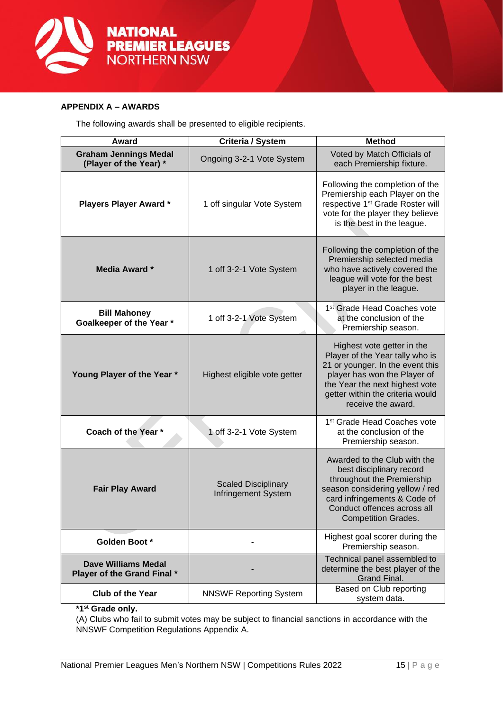

#### **APPENDIX A – AWARDS**

The following awards shall be presented to eligible recipients.

| Award                                                     | <b>Criteria / System</b>                                 | <b>Method</b>                                                                                                                                                                                                                 |
|-----------------------------------------------------------|----------------------------------------------------------|-------------------------------------------------------------------------------------------------------------------------------------------------------------------------------------------------------------------------------|
| <b>Graham Jennings Medal</b><br>(Player of the Year) *    | Ongoing 3-2-1 Vote System                                | Voted by Match Officials of<br>each Premiership fixture.                                                                                                                                                                      |
| <b>Players Player Award*</b>                              | 1 off singular Vote System                               | Following the completion of the<br>Premiership each Player on the<br>respective 1 <sup>st</sup> Grade Roster will<br>vote for the player they believe<br>is the best in the league.                                           |
| <b>Media Award *</b>                                      | 1 off 3-2-1 Vote System                                  | Following the completion of the<br>Premiership selected media<br>who have actively covered the<br>league will vote for the best<br>player in the league.                                                                      |
| <b>Bill Mahoney</b><br>Goalkeeper of the Year *           | 1 off 3-2-1 Vote System                                  | 1 <sup>st</sup> Grade Head Coaches vote<br>at the conclusion of the<br>Premiership season.                                                                                                                                    |
| Young Player of the Year *                                | Highest eligible vote getter                             | Highest vote getter in the<br>Player of the Year tally who is<br>21 or younger. In the event this<br>player has won the Player of<br>the Year the next highest vote<br>getter within the criteria would<br>receive the award. |
| Coach of the Year *                                       | 1 off 3-2-1 Vote System                                  | 1 <sup>st</sup> Grade Head Coaches vote<br>at the conclusion of the<br>Premiership season.                                                                                                                                    |
| <b>Fair Play Award</b>                                    | <b>Scaled Disciplinary</b><br><b>Infringement System</b> | Awarded to the Club with the<br>best disciplinary record<br>throughout the Premiership<br>season considering yellow / red<br>card infringements & Code of<br>Conduct offences across all<br><b>Competition Grades.</b>        |
| Golden Boot *                                             |                                                          | Highest goal scorer during the<br>Premiership season.                                                                                                                                                                         |
| <b>Dave Williams Medal</b><br>Player of the Grand Final * |                                                          | Technical panel assembled to<br>determine the best player of the<br>Grand Final.                                                                                                                                              |
| <b>Club of the Year</b>                                   | <b>NNSWF Reporting System</b>                            | Based on Club reporting<br>system data.                                                                                                                                                                                       |

**\*1st Grade only.** 

(A) Clubs who fail to submit votes may be subject to financial sanctions in accordance with the NNSWF Competition Regulations Appendix A.